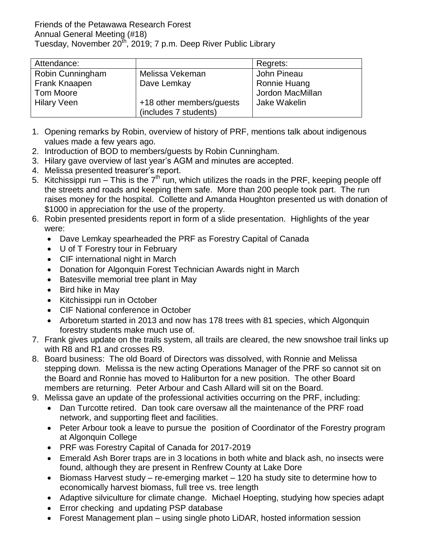| Attendance:        |                          | Regrets:         |
|--------------------|--------------------------|------------------|
| Robin Cunningham   | Melissa Vekeman          | John Pineau      |
| Frank Knaapen      | Dave Lemkay              | Ronnie Huang     |
| <b>Tom Moore</b>   |                          | Jordon MacMillan |
| <b>Hilary Veen</b> | +18 other members/guests | Jake Wakelin     |
|                    | (includes 7 students)    |                  |

- 1. Opening remarks by Robin, overview of history of PRF, mentions talk about indigenous values made a few years ago.
- 2. Introduction of BOD to members/guests by Robin Cunningham.
- 3. Hilary gave overview of last year's AGM and minutes are accepted.
- 4. Melissa presented treasurer's report.
- 5. Kitchissippi run This is the  $7<sup>th</sup>$  run, which utilizes the roads in the PRF, keeping people off the streets and roads and keeping them safe. More than 200 people took part. The run raises money for the hospital. Collette and Amanda Houghton presented us with donation of \$1000 in appreciation for the use of the property.
- 6. Robin presented presidents report in form of a slide presentation. Highlights of the year were:
	- Dave Lemkay spearheaded the PRF as Forestry Capital of Canada
	- U of T Forestry tour in February
	- CIF international night in March
	- Donation for Algonquin Forest Technician Awards night in March
	- Batesville memorial tree plant in May
	- $\bullet$  Bird hike in May
	- Kitchissippi run in October
	- CIF National conference in October
	- Arboretum started in 2013 and now has 178 trees with 81 species, which Algonquin forestry students make much use of.
- 7. Frank gives update on the trails system, all trails are cleared, the new snowshoe trail links up with R8 and R1 and crosses R9.
- 8. Board business: The old Board of Directors was dissolved, with Ronnie and Melissa stepping down. Melissa is the new acting Operations Manager of the PRF so cannot sit on the Board and Ronnie has moved to Haliburton for a new position. The other Board members are returning. Peter Arbour and Cash Allard will sit on the Board.
- 9. Melissa gave an update of the professional activities occurring on the PRF, including:
	- Dan Turcotte retired. Dan took care oversaw all the maintenance of the PRF road network, and supporting fleet and facilities.
	- Peter Arbour took a leave to pursue the position of Coordinator of the Forestry program at Algonquin College
	- PRF was Forestry Capital of Canada for 2017-2019
	- Emerald Ash Borer traps are in 3 locations in both white and black ash, no insects were found, although they are present in Renfrew County at Lake Dore
	- Biomass Harvest study re-emerging market 120 ha study site to determine how to economically harvest biomass, full tree vs. tree length
	- Adaptive silviculture for climate change. Michael Hoepting, studying how species adapt
	- **Error checking and updating PSP database**
	- Forest Management plan using single photo LiDAR, hosted information session